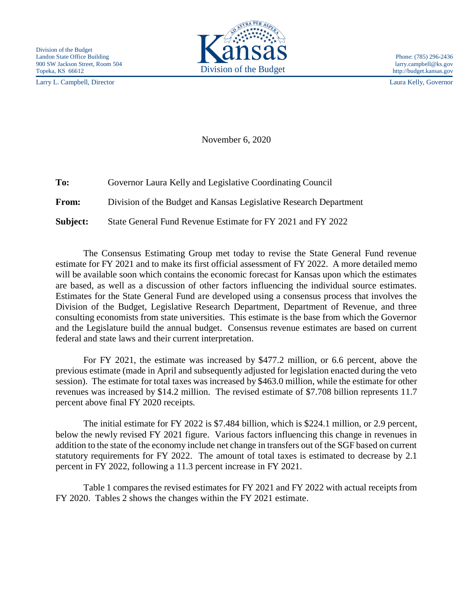Larry L. Campbell, Director Laura Kelly, Governor



November 6, 2020

| To:          | Governor Laura Kelly and Legislative Coordinating Council         |
|--------------|-------------------------------------------------------------------|
| <b>From:</b> | Division of the Budget and Kansas Legislative Research Department |
| Subject:     | State General Fund Revenue Estimate for FY 2021 and FY 2022       |

The Consensus Estimating Group met today to revise the State General Fund revenue estimate for FY 2021 and to make its first official assessment of FY 2022. A more detailed memo will be available soon which contains the economic forecast for Kansas upon which the estimates are based, as well as a discussion of other factors influencing the individual source estimates. Estimates for the State General Fund are developed using a consensus process that involves the Division of the Budget, Legislative Research Department, Department of Revenue, and three consulting economists from state universities. This estimate is the base from which the Governor and the Legislature build the annual budget. Consensus revenue estimates are based on current federal and state laws and their current interpretation.

For FY 2021, the estimate was increased by \$477.2 million, or 6.6 percent, above the previous estimate (made in April and subsequently adjusted for legislation enacted during the veto session). The estimate for total taxes was increased by \$463.0 million, while the estimate for other revenues was increased by \$14.2 million. The revised estimate of \$7.708 billion represents 11.7 percent above final FY 2020 receipts.

The initial estimate for FY 2022 is \$7.484 billion, which is \$224.1 million, or 2.9 percent, below the newly revised FY 2021 figure. Various factors influencing this change in revenues in addition to the state of the economy include net change in transfers out of the SGF based on current statutory requirements for FY 2022. The amount of total taxes is estimated to decrease by 2.1 percent in FY 2022, following a 11.3 percent increase in FY 2021.

Table 1 compares the revised estimates for FY 2021 and FY 2022 with actual receipts from FY 2020. Tables 2 shows the changes within the FY 2021 estimate.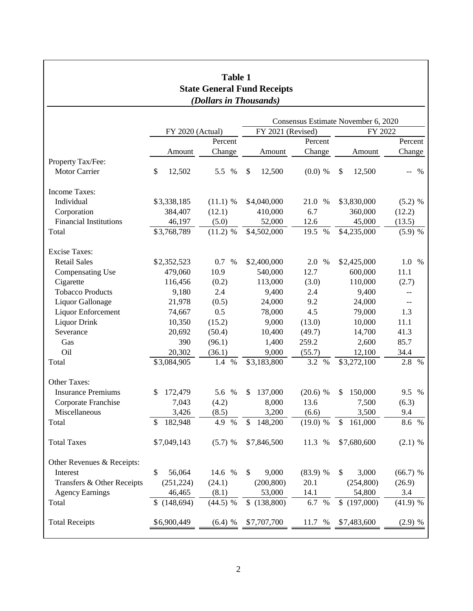| Table 1<br><b>State General Fund Receipts</b><br>(Dollars in Thousands) |                  |             |                          |              |               |             |  |  |  |  |                                     |
|-------------------------------------------------------------------------|------------------|-------------|--------------------------|--------------|---------------|-------------|--|--|--|--|-------------------------------------|
|                                                                         |                  |             |                          |              |               |             |  |  |  |  | Consensus Estimate November 6, 2020 |
|                                                                         | FY 2020 (Actual) |             | FY 2021 (Revised)        |              | FY 2022       |             |  |  |  |  |                                     |
|                                                                         | Percent          |             | Percent                  |              | Percent       |             |  |  |  |  |                                     |
|                                                                         | Amount           | Change      | Amount                   | Change       | Amount        | Change      |  |  |  |  |                                     |
| Property Tax/Fee:                                                       |                  |             |                          |              |               |             |  |  |  |  |                                     |
| <b>Motor Carrier</b>                                                    | \$<br>12,502     | 5.5 %       | \$<br>12,500             | $(0.0)$ %    | \$<br>12,500  | $\%$<br>$-$ |  |  |  |  |                                     |
| Income Taxes:                                                           |                  |             |                          |              |               |             |  |  |  |  |                                     |
| Individual                                                              | \$3,338,185      | $(11.1)$ %  | \$4,040,000              | 21.0<br>$\%$ | \$3,830,000   | $(5.2)$ %   |  |  |  |  |                                     |
| Corporation                                                             | 384,407          | (12.1)      | 410,000                  | 6.7          | 360,000       | (12.2)      |  |  |  |  |                                     |
| <b>Financial Institutions</b>                                           | 46,197           | (5.0)       | 52,000                   | 12.6         | 45,000        | (13.5)      |  |  |  |  |                                     |
| Total                                                                   | \$3,768,789      | $(11.2)$ %  | \$4,502,000              | 19.5 %       | \$4,235,000   | (5.9) %     |  |  |  |  |                                     |
| <b>Excise Taxes:</b>                                                    |                  |             |                          |              |               |             |  |  |  |  |                                     |
| <b>Retail Sales</b>                                                     | \$2,352,523      | 0.7 %       | \$2,400,000              | 2.0 %        | \$2,425,000   | 1.0%        |  |  |  |  |                                     |
| <b>Compensating Use</b>                                                 | 479,060          | 10.9        | 540,000                  | 12.7         | 600,000       | 11.1        |  |  |  |  |                                     |
| Cigarette                                                               | 116,456          | (0.2)       | 113,000                  | (3.0)        | 110,000       | (2.7)       |  |  |  |  |                                     |
| <b>Tobacco Products</b>                                                 | 9,180            | 2.4         | 9,400                    | 2.4          | 9,400         | $-$         |  |  |  |  |                                     |
| Liquor Gallonage                                                        | 21,978           | (0.5)       | 24,000                   | 9.2          | 24,000        | $-$         |  |  |  |  |                                     |
| Liquor Enforcement                                                      | 74,667           | 0.5         | 78,000                   | 4.5          | 79,000        | 1.3         |  |  |  |  |                                     |
| <b>Liquor Drink</b>                                                     | 10,350           | (15.2)      | 9,000                    | (13.0)       | 10,000        | 11.1        |  |  |  |  |                                     |
| Severance                                                               | 20,692           | (50.4)      | 10,400                   | (49.7)       | 14,700        | 41.3        |  |  |  |  |                                     |
| Gas                                                                     | 390              | (96.1)      | 1,400                    | 259.2        | 2,600         | 85.7        |  |  |  |  |                                     |
| Oil                                                                     | 20,302           | (36.1)      | 9,000                    | (55.7)       | 12,100        | 34.4        |  |  |  |  |                                     |
| Total                                                                   | \$3,084,905      | 1.4<br>$\%$ | \$3,183,800              | 3.2 %        | \$3,272,100   | 2.8<br>$\%$ |  |  |  |  |                                     |
| Other Taxes:                                                            |                  |             |                          |              |               |             |  |  |  |  |                                     |
| <b>Insurance Premiums</b>                                               | 172,479<br>S     | 5.6 %       | 137,000<br>\$            | $(20.6)$ %   | 150,000<br>\$ | 9.5 %       |  |  |  |  |                                     |
| Corporate Franchise                                                     | 7,043            | (4.2)       | 8,000                    | 13.6         | 7,500         | (6.3)       |  |  |  |  |                                     |
| Miscellaneous                                                           | 3,426            | (8.5)       | 3,200                    | (6.6)        | 3,500         | 9.4         |  |  |  |  |                                     |
| Total                                                                   | 182,948<br>S     | 4.9 %       | 148,200<br>$\mathcal{S}$ | (19.0) %     | \$<br>161,000 | 8.6 %       |  |  |  |  |                                     |
| <b>Total Taxes</b>                                                      | \$7,049,143      | (5.7) %     | \$7,846,500              | 11.3 %       | \$7,680,600   | $(2.1)$ %   |  |  |  |  |                                     |
| Other Revenues & Receipts:                                              |                  |             |                          |              |               |             |  |  |  |  |                                     |
| Interest                                                                | 56,064<br>\$     | 14.6 %      | 9,000<br>\$              | (83.9) %     | 3,000<br>\$   | (66.7) %    |  |  |  |  |                                     |
| Transfers & Other Receipts                                              | (251, 224)       | (24.1)      | (200, 800)               | 20.1         | (254, 800)    | (26.9)      |  |  |  |  |                                     |
| <b>Agency Earnings</b>                                                  | 46,465           | (8.1)       | 53,000                   | 14.1         | 54,800        | 3.4         |  |  |  |  |                                     |
| Total                                                                   | \$(148,694)      | $(44.5)$ %  | \$(138,800)              | 6.7 %        | \$(197,000)   | (41.9) %    |  |  |  |  |                                     |
| <b>Total Receipts</b>                                                   | \$6,900,449      | $(6.4)$ %   | \$7,707,700              | 11.7 %       | \$7,483,600   | $(2.9) \%$  |  |  |  |  |                                     |